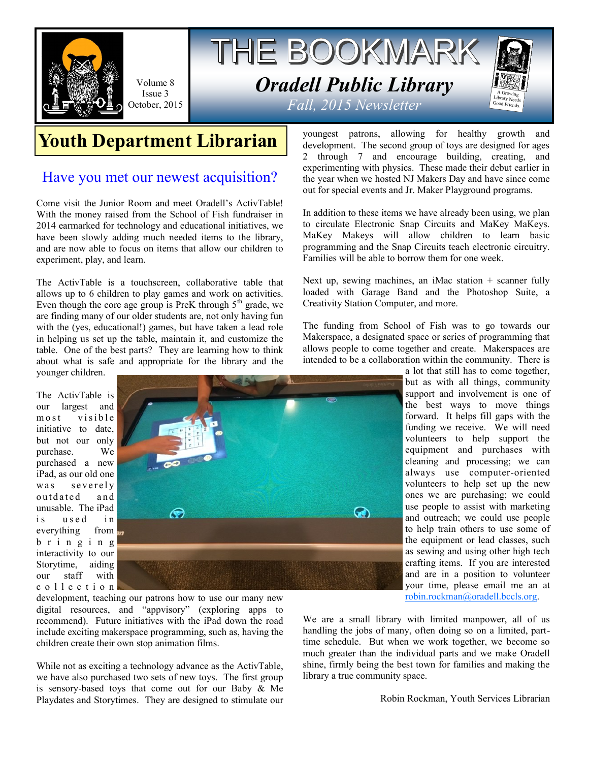

Volume 8 Issue 3 October, 2015

# THE BOOKMARK *Oradell Public Library Fall, 2015 Newsletter*



## **Youth Department Librarian**

#### Have you met our newest acquisition?

Come visit the Junior Room and meet Oradell's ActivTable! With the money raised from the School of Fish fundraiser in 2014 earmarked for technology and educational initiatives, we have been slowly adding much needed items to the library, and are now able to focus on items that allow our children to experiment, play, and learn.

The ActivTable is a touchscreen, collaborative table that allows up to 6 children to play games and work on activities. Even though the core age group is PreK through  $5<sup>th</sup>$  grade, we are finding many of our older students are, not only having fun with the (yes, educational!) games, but have taken a lead role in helping us set up the table, maintain it, and customize the table. One of the best parts? They are learning how to think about what is safe and appropriate for the library and the

younger children.

The ActivTable is our largest and<br>most visible v i s i b l e initiative to date, but not our only purchase. We purchased a new iPad, as our old one was severely outdated and unusable. The iPad is used in everything from  $\frac{1}{2}$ b r i n g i n g interactivity to our Storytime, aiding our staff with c o l l e c t i o n



development, teaching our patrons how to use our many new digital resources, and "appvisory" (exploring apps to recommend). Future initiatives with the iPad down the road include exciting makerspace programming, such as, having the children create their own stop animation films.

While not as exciting a technology advance as the ActivTable, we have also purchased two sets of new toys. The first group is sensory-based toys that come out for our Baby & Me Playdates and Storytimes. They are designed to stimulate our youngest patrons, allowing for healthy growth and development. The second group of toys are designed for ages 2 through 7 and encourage building, creating, and experimenting with physics. These made their debut earlier in the year when we hosted NJ Makers Day and have since come out for special events and Jr. Maker Playground programs.

In addition to these items we have already been using, we plan to circulate Electronic Snap Circuits and MaKey MaKeys. MaKey Makeys will allow children to learn basic programming and the Snap Circuits teach electronic circuitry. Families will be able to borrow them for one week.

Next up, sewing machines, an iMac station  $+$  scanner fully loaded with Garage Band and the Photoshop Suite, a Creativity Station Computer, and more.

The funding from School of Fish was to go towards our Makerspace, a designated space or series of programming that allows people to come together and create. Makerspaces are intended to be a collaboration within the community. There is

a lot that still has to come together, but as with all things, community support and involvement is one of the best ways to move things forward. It helps fill gaps with the funding we receive. We will need volunteers to help support the equipment and purchases with cleaning and processing; we can always use computer-oriented volunteers to help set up the new ones we are purchasing; we could use people to assist with marketing and outreach; we could use people to help train others to use some of the equipment or lead classes, such as sewing and using other high tech crafting items. If you are interested and are in a position to volunteer your time, please email me an at [robin.rockman@oradell.bccls.org.](mailto:robin.rockman@oradell.bccls.org)

We are a small library with limited manpower, all of us handling the jobs of many, often doing so on a limited, parttime schedule. But when we work together, we become so much greater than the individual parts and we make Oradell shine, firmly being the best town for families and making the library a true community space.

Robin Rockman, Youth Services Librarian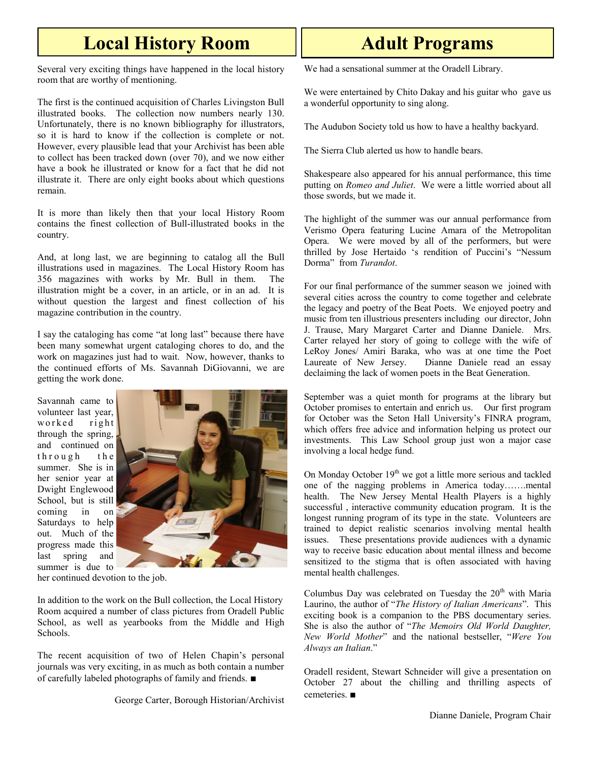### **Local History Room**

Several very exciting things have happened in the local history room that are worthy of mentioning.

The first is the continued acquisition of Charles Livingston Bull illustrated books. The collection now numbers nearly 130. Unfortunately, there is no known bibliography for illustrators, so it is hard to know if the collection is complete or not. However, every plausible lead that your Archivist has been able to collect has been tracked down (over 70), and we now either have a book he illustrated or know for a fact that he did not illustrate it. There are only eight books about which questions remain.

It is more than likely then that your local History Room contains the finest collection of Bull-illustrated books in the country.

And, at long last, we are beginning to catalog all the Bull illustrations used in magazines. The Local History Room has 356 magazines with works by Mr. Bull in them. The illustration might be a cover, in an article, or in an ad. It is without question the largest and finest collection of his magazine contribution in the country.

I say the cataloging has come "at long last" because there have been many somewhat urgent cataloging chores to do, and the work on magazines just had to wait. Now, however, thanks to the continued efforts of Ms. Savannah DiGiovanni, we are getting the work done.

Savannah came to volunteer last year, worked right through the spring, and continued on through the summer. She is in her senior year at Dwight Englewood School, but is still coming in on Saturdays to help out. Much of the progress made this last spring and summer is due to



her continued devotion to the job.

In addition to the work on the Bull collection, the Local History Room acquired a number of class pictures from Oradell Public School, as well as yearbooks from the Middle and High Schools.

The recent acquisition of two of Helen Chapin's personal journals was very exciting, in as much as both contain a number of carefully labeled photographs of family and friends. ■

George Carter, Borough Historian/Archivist

### **Adult Programs**

We had a sensational summer at the Oradell Library.

We were entertained by Chito Dakay and his guitar who gave us a wonderful opportunity to sing along.

The Audubon Society told us how to have a healthy backyard.

The Sierra Club alerted us how to handle bears.

Shakespeare also appeared for his annual performance, this time putting on *Romeo and Juliet*. We were a little worried about all those swords, but we made it.

The highlight of the summer was our annual performance from Verismo Opera featuring Lucine Amara of the Metropolitan Opera. We were moved by all of the performers, but were thrilled by Jose Hertaido 's rendition of Puccini's "Nessum Dorma" from *Turandot*.

For our final performance of the summer season we joined with several cities across the country to come together and celebrate the legacy and poetry of the Beat Poets. We enjoyed poetry and music from ten illustrious presenters including our director, John J. Trause, Mary Margaret Carter and Dianne Daniele. Mrs. Carter relayed her story of going to college with the wife of LeRoy Jones/ Amiri Baraka, who was at one time the Poet Laureate of New Jersey. Dianne Daniele read an essay declaiming the lack of women poets in the Beat Generation.

September was a quiet month for programs at the library but October promises to entertain and enrich us. Our first program for October was the Seton Hall University's FINRA program, which offers free advice and information helping us protect our investments. This Law School group just won a major case involving a local hedge fund.

On Monday October  $19<sup>th</sup>$  we got a little more serious and tackled one of the nagging problems in America today…….mental health. The New Jersey Mental Health Players is a highly successful , interactive community education program. It is the longest running program of its type in the state. Volunteers are trained to depict realistic scenarios involving mental health issues. These presentations provide audiences with a dynamic way to receive basic education about mental illness and become sensitized to the stigma that is often associated with having mental health challenges.

Columbus Day was celebrated on Tuesday the  $20<sup>th</sup>$  with Maria Laurino, the author of "*The History of Italian Americans*". This exciting book is a companion to the PBS documentary series. She is also the author of "*The Memoirs Old World Daughter, New World Mother*" and the national bestseller, "*Were You Always an Italian*."

Oradell resident, Stewart Schneider will give a presentation on October 27 about the chilling and thrilling aspects of cemeteries. ■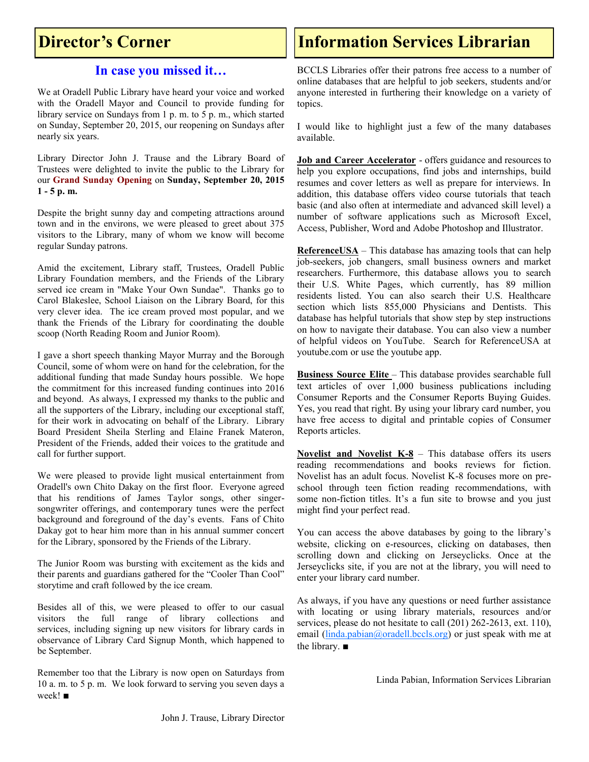#### **Director's Corner**

#### **In case you missed it…**

We at Oradell Public Library have heard your voice and worked with the Oradell Mayor and Council to provide funding for library service on Sundays from 1 p. m. to 5 p. m., which started on Sunday, September 20, 2015, our reopening on Sundays after nearly six years.

Library Director John J. Trause and the Library Board of Trustees were delighted to invite the public to the Library for our **Grand Sunday Opening** on **Sunday, September 20, 2015 1 - 5 p. m.**

Despite the bright sunny day and competing attractions around town and in the environs, we were pleased to greet about 375 visitors to the Library, many of whom we know will become regular Sunday patrons.

Amid the excitement, Library staff, Trustees, Oradell Public Library Foundation members, and the Friends of the Library served ice cream in "Make Your Own Sundae". Thanks go to Carol Blakeslee, School Liaison on the Library Board, for this very clever idea. The ice cream proved most popular, and we thank the Friends of the Library for coordinating the double scoop (North Reading Room and Junior Room).

I gave a short speech thanking Mayor Murray and the Borough Council, some of whom were on hand for the celebration, for the additional funding that made Sunday hours possible. We hope the commitment for this increased funding continues into 2016 and beyond. As always, I expressed my thanks to the public and all the supporters of the Library, including our exceptional staff, for their work in advocating on behalf of the Library. Library Board President Sheila Sterling and Elaine Franek Materon, President of the Friends, added their voices to the gratitude and call for further support.

We were pleased to provide light musical entertainment from Oradell's own Chito Dakay on the first floor. Everyone agreed that his renditions of James Taylor songs, other singersongwriter offerings, and contemporary tunes were the perfect background and foreground of the day's events. Fans of Chito Dakay got to hear him more than in his annual summer concert for the Library, sponsored by the Friends of the Library.

The Junior Room was bursting with excitement as the kids and their parents and guardians gathered for the "Cooler Than Cool" storytime and craft followed by the ice cream.

Besides all of this, we were pleased to offer to our casual visitors the full range of library collections and services, including signing up new visitors for library cards in observance of Library Card Signup Month, which happened to be September.

Remember too that the Library is now open on Saturdays from 10 a. m. to 5 p. m. We look forward to serving you seven days a week! ■

### **Information Services Librarian**

BCCLS Libraries offer their patrons free access to a number of online databases that are helpful to job seekers, students and/or anyone interested in furthering their knowledge on a variety of topics.

I would like to highlight just a few of the many databases available.

**Job and Career Accelerator** - offers guidance and resources to help you explore occupations, find jobs and internships, build resumes and cover letters as well as prepare for interviews. In addition, this database offers video course tutorials that teach basic (and also often at intermediate and advanced skill level) a number of software applications such as Microsoft Excel, Access, Publisher, Word and Adobe Photoshop and Illustrator.

**ReferenceUSA** – This database has amazing tools that can help job-seekers, job changers, small business owners and market researchers. Furthermore, this database allows you to search their U.S. White Pages, which currently, has 89 million residents listed. You can also search their U.S. Healthcare section which lists 855,000 Physicians and Dentists. This database has helpful tutorials that show step by step instructions on how to navigate their database. You can also view a number of helpful videos on YouTube. Search for ReferenceUSA at youtube.com or use the youtube app.

**Business Source Elite** – This database provides searchable full text articles of over 1,000 business publications including Consumer Reports and the Consumer Reports Buying Guides. Yes, you read that right. By using your library card number, you have free access to digital and printable copies of Consumer Reports articles.

**Novelist and Novelist K-8** – This database offers its users reading recommendations and books reviews for fiction. Novelist has an adult focus. Novelist K-8 focuses more on preschool through teen fiction reading recommendations, with some non-fiction titles. It's a fun site to browse and you just might find your perfect read.

You can access the above databases by going to the library's website, clicking on e-resources, clicking on databases, then scrolling down and clicking on Jerseyclicks. Once at the Jerseyclicks site, if you are not at the library, you will need to enter your library card number.

As always, if you have any questions or need further assistance with locating or using library materials, resources and/or services, please do not hesitate to call (201) 262-2613, ext. 110), email [\(linda.pabian@oradell.bccls.org\)](mailto:linda.pabian@oradell.bccls.org) or just speak with me at the library. ■

Linda Pabian, Information Services Librarian